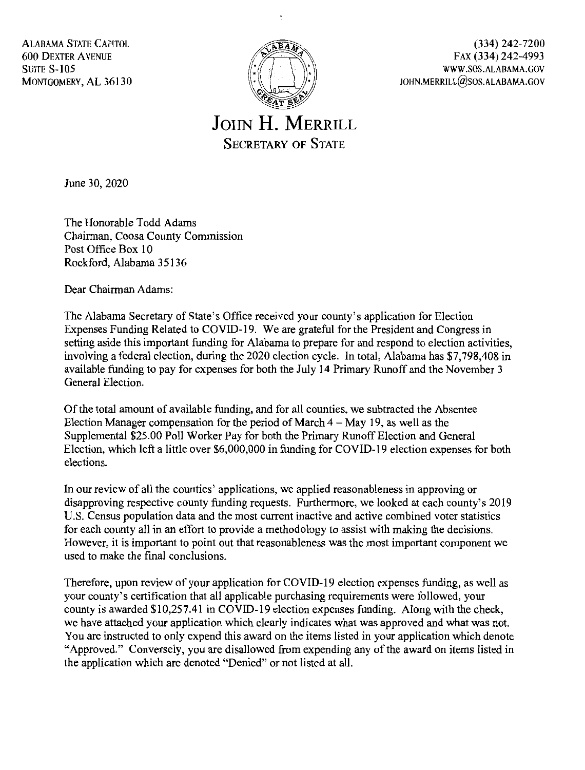ALABAMA STATE CAPITOL 600 DEXTER AVENUE **SUITE S-105** MONTGOMERY, AL 36130



(334) 242-7200 FAX (334) 242-4993 WWW .SOS.ALABAMA.GOV JOHN.MERRILL@SOS.ALABAMA.GOV

**JOHN H. MERRILL**  SECRETARY OF STATE

June 30, 2020

The Honorable Todd Adams Chairman, Coosa County Commission Post Office Box 10 Rockford, Alabama 35136

Dear Chairman Adams:

The Alabama Secretary of State's Office received your county's application for Election Expenses Funding Related to COVID-19. We are grateful for the President and Congress in setting aside this important funding for Alabama to prepare for and respond to election activities, involving a federal election, during the 2020 election cycle. In total, Alabama has \$7,798,408 in available funding to pay for expenses for both the July 14 Primary Runoff and the November 3 General Election.

Of the total amount of available funding, and for all counties, we subtracted the Absentee Election Manager compensation for the period of March  $4 -$ May 19, as well as the Supplemental \$25.00 Poll Worker Pay for both the Primary Runoff Election and General Election, which left a little over \$6,000,000 in funding for COVID- 19 election expenses for both elections.

In our review of all the counties' applications, we applied reasonableness in approving or disapproving respective county funding requests. Furthermore, we looked at each county's 2019 U.S. Census population data and the most current inactive and active combined voter statistics for each county all in an effort to provide a methodology to assist with making the decisions. However, it is important to point out that reasonableness was the most important component we used to make the final conclusions.

Therefore, upon review of your application for COVID-19 election expenses funding, as well as your county's certification that all applicable purchasing requirements were followed, your county is awarded \$10,257.41 in COVID-19 election expenses funding. Along with the check, we have attached your application which clearly indicates what was approved and what was not. You are instructed to only expend this award on the items listed in your application which denote "Approved." Conversely, you are disallowed from expending any of the award on items listed in the application which are denoted "Denied" or not listed at all.